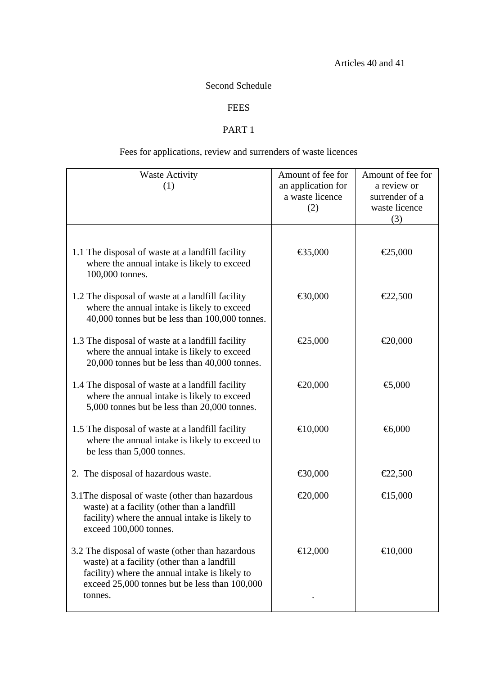### Second Schedule

## **FEES**

#### PART 1

# Fees for applications, review and surrenders of waste licences

| <b>Waste Activity</b><br>(1)                                                                                                                                                                                 | Amount of fee for<br>an application for<br>a waste licence<br>(2) | Amount of fee for<br>a review or<br>surrender of a<br>waste licence<br>(3) |
|--------------------------------------------------------------------------------------------------------------------------------------------------------------------------------------------------------------|-------------------------------------------------------------------|----------------------------------------------------------------------------|
| 1.1 The disposal of waste at a landfill facility<br>where the annual intake is likely to exceed<br>100,000 tonnes.                                                                                           | €35,000                                                           | €25,000                                                                    |
| 1.2 The disposal of waste at a landfill facility<br>where the annual intake is likely to exceed<br>40,000 tonnes but be less than 100,000 tonnes.                                                            | €30,000                                                           | €2,500                                                                     |
| 1.3 The disposal of waste at a landfill facility<br>where the annual intake is likely to exceed<br>20,000 tonnes but be less than 40,000 tonnes.                                                             | €25,000                                                           | €20,000                                                                    |
| 1.4 The disposal of waste at a landfill facility<br>where the annual intake is likely to exceed<br>5,000 tonnes but be less than 20,000 tonnes.                                                              | € $20,000$                                                        | €,000                                                                      |
| 1.5 The disposal of waste at a landfill facility<br>where the annual intake is likely to exceed to<br>be less than 5,000 tonnes.                                                                             | € $10,000$                                                        | $\bigoplus$ ,000                                                           |
| 2. The disposal of hazardous waste.                                                                                                                                                                          | €30,000                                                           | €22,500                                                                    |
| 3.1 The disposal of waste (other than hazardous<br>waste) at a facility (other than a landfill<br>facility) where the annual intake is likely to<br>exceed 100,000 tonnes.                                   | €20,000                                                           | €15,000                                                                    |
| 3.2 The disposal of waste (other than hazardous<br>waste) at a facility (other than a landfill<br>facility) where the annual intake is likely to<br>exceed 25,000 tonnes but be less than 100,000<br>tonnes. | € $12,000$                                                        | € $10,000$                                                                 |